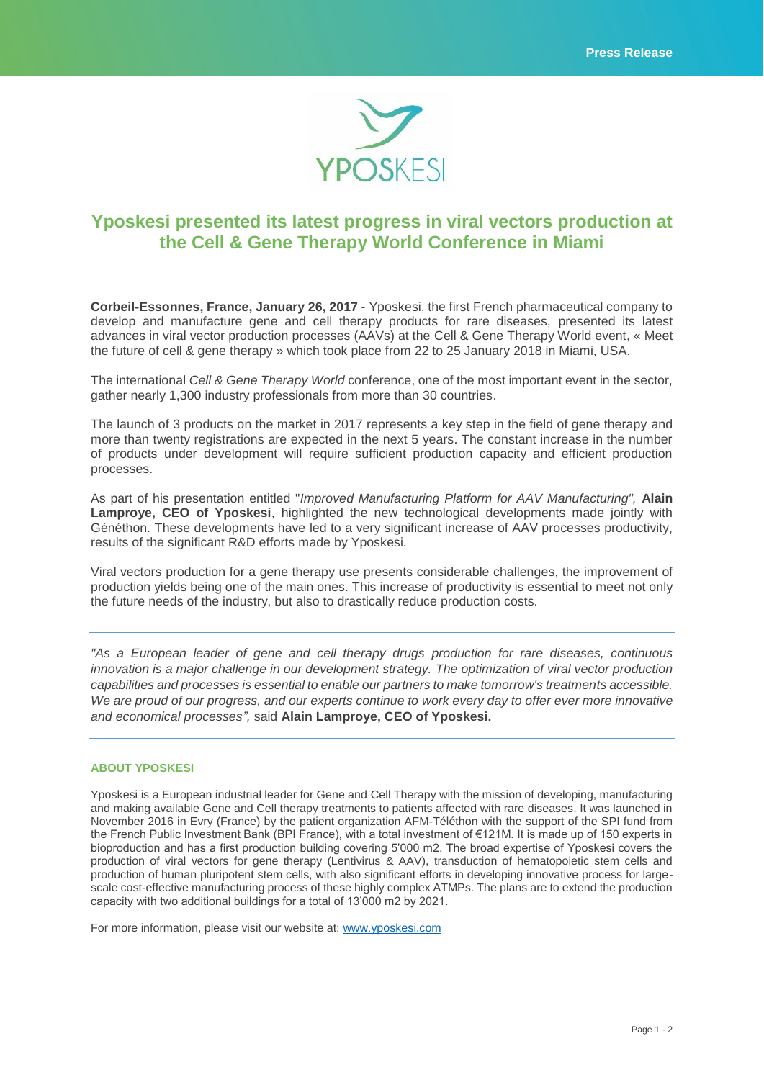

## **Yposkesi presented its latest progress in viral vectors production at the Cell & Gene Therapy World Conference in Miami**

**Corbeil-Essonnes, France, January 26, 2017** - Yposkesi, the first French pharmaceutical company to develop and manufacture gene and cell therapy products for rare diseases, presented its latest advances in viral vector production processes (AAVs) at the Cell & Gene Therapy World event, « Meet the future of cell & gene therapy » which took place from 22 to 25 January 2018 in Miami, USA.

The international *Cell & Gene Therapy World* conference, one of the most important event in the sector, gather nearly 1,300 industry professionals from more than 30 countries.

The launch of 3 products on the market in 2017 represents a key step in the field of gene therapy and more than twenty registrations are expected in the next 5 years. The constant increase in the number of products under development will require sufficient production capacity and efficient production processes.

As part of his presentation entitled "*Improved Manufacturing Platform for AAV Manufacturing",* **Alain Lamproye, CEO of Yposkesi**, highlighted the new technological developments made jointly with Généthon. These developments have led to a very significant increase of AAV processes productivity, results of the significant R&D efforts made by Yposkesi.

Viral vectors production for a gene therapy use presents considerable challenges, the improvement of production yields being one of the main ones. This increase of productivity is essential to meet not only the future needs of the industry, but also to drastically reduce production costs.

*"As a European leader of gene and cell therapy drugs production for rare diseases, continuous innovation is a major challenge in our development strategy. The optimization of viral vector production capabilities and processes is essential to enable our partners to make tomorrow's treatments accessible. We are proud of our progress, and our experts continue to work every day to offer ever more innovative and economical processes",* said **Alain Lamproye, CEO of Yposkesi.**

## **ABOUT YPOSKESI**

Yposkesi is a European industrial leader for Gene and Cell Therapy with the mission of developing, manufacturing and making available Gene and Cell therapy treatments to patients affected with rare diseases. It was launched in November 2016 in Evry (France) by the patient organization AFM-Téléthon with the support of the SPI fund from the French Public Investment Bank (BPI France), with a total investment of €121M. It is made up of 150 experts in bioproduction and has a first production building covering 5'000 m2. The broad expertise of Yposkesi covers the production of viral vectors for gene therapy (Lentivirus & AAV), transduction of hematopoietic stem cells and production of human pluripotent stem cells, with also significant efforts in developing innovative process for largescale cost-effective manufacturing process of these highly complex ATMPs. The plans are to extend the production capacity with two additional buildings for a total of 13'000 m2 by 2021.

For more information, please visit our website at: [www.yposkesi.com](http://www.yposkesi.com/)